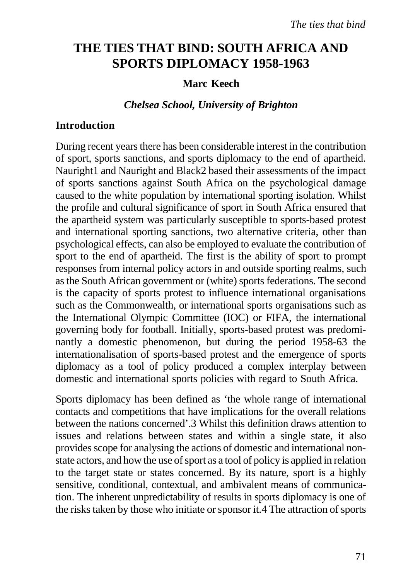# **THE TIES THAT BIND: SOUTH AFRICA AND SPORTS DIPLOMACY 1958-1963**

#### **Marc Keech**

#### *Chelsea School, University of Brighton*

#### **Introduction**

During recent years there has been considerable interest in the contribution of sport, sports sanctions, and sports diplomacy to the end of apartheid. Nauright1 and Nauright and Black2 based their assessments of the impact of sports sanctions against South Africa on the psychological damage caused to the white population by international sporting isolation. Whilst the profile and cultural significance of sport in South Africa ensured that the apartheid system was particularly susceptible to sports-based protest and international sporting sanctions, two alternative criteria, other than psychological effects, can also be employed to evaluate the contribution of sport to the end of apartheid. The first is the ability of sport to prompt responses from internal policy actors in and outside sporting realms, such as the South African government or (white) sports federations. The second is the capacity of sports protest to influence international organisations such as the Commonwealth, or international sports organisations such as the International Olympic Committee (IOC) or FIFA, the international governing body for football. Initially, sports-based protest was predominantly a domestic phenomenon, but during the period 1958-63 the internationalisation of sports-based protest and the emergence of sports diplomacy as a tool of policy produced a complex interplay between domestic and international sports policies with regard to South Africa.

Sports diplomacy has been defined as 'the whole range of international contacts and competitions that have implications for the overall relations between the nations concerned'.3 Whilst this definition draws attention to issues and relations between states and within a single state, it also provides scope for analysing the actions of domestic and international nonstate actors, and how the use of sport as a tool of policy is applied in relation to the target state or states concerned. By its nature, sport is a highly sensitive, conditional, contextual, and ambivalent means of communication. The inherent unpredictability of results in sports diplomacy is one of the risks taken by those who initiate or sponsor it.4 The attraction of sports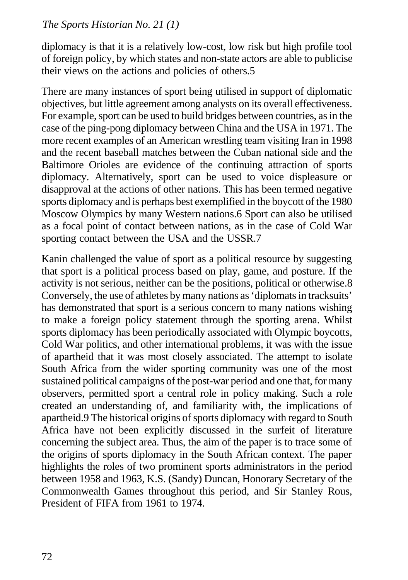diplomacy is that it is a relatively low-cost, low risk but high profile tool of foreign policy, by which states and non-state actors are able to publicise their views on the actions and policies of others.5

There are many instances of sport being utilised in support of diplomatic objectives, but little agreement among analysts on its overall effectiveness. For example, sport can be used to build bridges between countries, as in the case of the ping-pong diplomacy between China and the USA in 1971. The more recent examples of an American wrestling team visiting Iran in 1998 and the recent baseball matches between the Cuban national side and the Baltimore Orioles are evidence of the continuing attraction of sports diplomacy. Alternatively, sport can be used to voice displeasure or disapproval at the actions of other nations. This has been termed negative sports diplomacy and is perhaps best exemplified in the boycott of the 1980 Moscow Olympics by many Western nations.6 Sport can also be utilised as a focal point of contact between nations, as in the case of Cold War sporting contact between the USA and the USSR.7

Kanin challenged the value of sport as a political resource by suggesting that sport is a political process based on play, game, and posture. If the activity is not serious, neither can be the positions, political or otherwise.8 Conversely, the use of athletes by many nations as 'diplomats in tracksuits' has demonstrated that sport is a serious concern to many nations wishing to make a foreign policy statement through the sporting arena. Whilst sports diplomacy has been periodically associated with Olympic boycotts, Cold War politics, and other international problems, it was with the issue of apartheid that it was most closely associated. The attempt to isolate South Africa from the wider sporting community was one of the most sustained political campaigns of the post-war period and one that, for many observers, permitted sport a central role in policy making. Such a role created an understanding of, and familiarity with, the implications of apartheid.9 The historical origins of sports diplomacy with regard to South Africa have not been explicitly discussed in the surfeit of literature concerning the subject area. Thus, the aim of the paper is to trace some of the origins of sports diplomacy in the South African context. The paper highlights the roles of two prominent sports administrators in the period between 1958 and 1963, K.S. (Sandy) Duncan, Honorary Secretary of the Commonwealth Games throughout this period, and Sir Stanley Rous, President of FIFA from 1961 to 1974.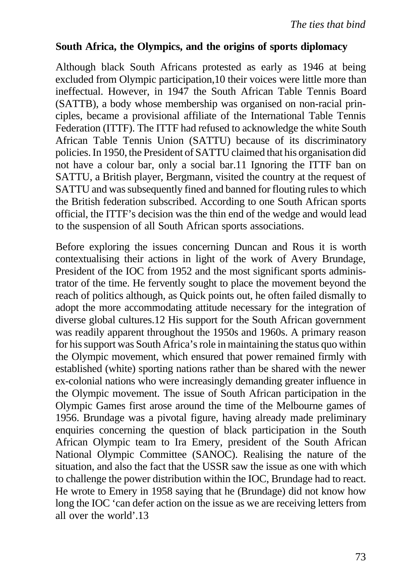#### **South Africa, the Olympics, and the origins of sports diplomacy**

Although black South Africans protested as early as 1946 at being excluded from Olympic participation,10 their voices were little more than ineffectual. However, in 1947 the South African Table Tennis Board (SATTB), a body whose membership was organised on non-racial principles, became a provisional affiliate of the International Table Tennis Federation (ITTF). The ITTF had refused to acknowledge the white South African Table Tennis Union (SATTU) because of its discriminatory policies. In 1950, the President of SATTU claimed that his organisation did not have a colour bar, only a social bar.11 Ignoring the ITTF ban on SATTU, a British player, Bergmann, visited the country at the request of SATTU and was subsequently fined and banned for flouting rules to which the British federation subscribed. According to one South African sports official, the ITTF's decision was the thin end of the wedge and would lead to the suspension of all South African sports associations.

Before exploring the issues concerning Duncan and Rous it is worth contextualising their actions in light of the work of Avery Brundage, President of the IOC from 1952 and the most significant sports administrator of the time. He fervently sought to place the movement beyond the reach of politics although, as Quick points out, he often failed dismally to adopt the more accommodating attitude necessary for the integration of diverse global cultures.12 His support for the South African government was readily apparent throughout the 1950s and 1960s. A primary reason for his support was South Africa's role in maintaining the status quo within the Olympic movement, which ensured that power remained firmly with established (white) sporting nations rather than be shared with the newer ex-colonial nations who were increasingly demanding greater influence in the Olympic movement. The issue of South African participation in the Olympic Games first arose around the time of the Melbourne games of 1956. Brundage was a pivotal figure, having already made preliminary enquiries concerning the question of black participation in the South African Olympic team to Ira Emery, president of the South African National Olympic Committee (SANOC). Realising the nature of the situation, and also the fact that the USSR saw the issue as one with which to challenge the power distribution within the IOC, Brundage had to react. He wrote to Emery in 1958 saying that he (Brundage) did not know how long the IOC 'can defer action on the issue as we are receiving letters from all over the world'.13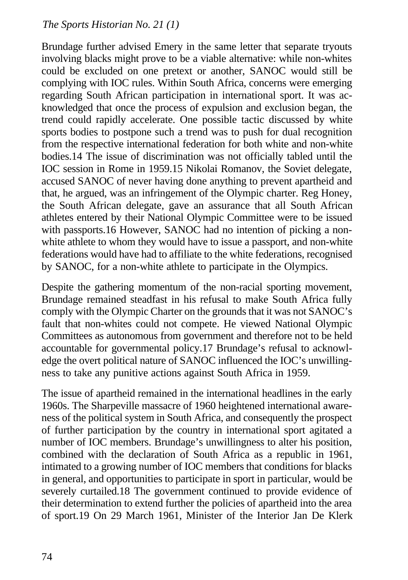Brundage further advised Emery in the same letter that separate tryouts involving blacks might prove to be a viable alternative: while non-whites could be excluded on one pretext or another, SANOC would still be complying with IOC rules. Within South Africa, concerns were emerging regarding South African participation in international sport. It was acknowledged that once the process of expulsion and exclusion began, the trend could rapidly accelerate. One possible tactic discussed by white sports bodies to postpone such a trend was to push for dual recognition from the respective international federation for both white and non-white bodies.14 The issue of discrimination was not officially tabled until the IOC session in Rome in 1959.15 Nikolai Romanov, the Soviet delegate, accused SANOC of never having done anything to prevent apartheid and that, he argued, was an infringement of the Olympic charter. Reg Honey, the South African delegate, gave an assurance that all South African athletes entered by their National Olympic Committee were to be issued with passports.16 However, SANOC had no intention of picking a nonwhite athlete to whom they would have to issue a passport, and non-white federations would have had to affiliate to the white federations, recognised by SANOC, for a non-white athlete to participate in the Olympics.

Despite the gathering momentum of the non-racial sporting movement, Brundage remained steadfast in his refusal to make South Africa fully comply with the Olympic Charter on the grounds that it was not SANOC's fault that non-whites could not compete. He viewed National Olympic Committees as autonomous from government and therefore not to be held accountable for governmental policy.17 Brundage's refusal to acknowledge the overt political nature of SANOC influenced the IOC's unwillingness to take any punitive actions against South Africa in 1959.

The issue of apartheid remained in the international headlines in the early 1960s. The Sharpeville massacre of 1960 heightened international awareness of the political system in South Africa, and consequently the prospect of further participation by the country in international sport agitated a number of IOC members. Brundage's unwillingness to alter his position, combined with the declaration of South Africa as a republic in 1961, intimated to a growing number of IOC members that conditions for blacks in general, and opportunities to participate in sport in particular, would be severely curtailed.18 The government continued to provide evidence of their determination to extend further the policies of apartheid into the area of sport.19 On 29 March 1961, Minister of the Interior Jan De Klerk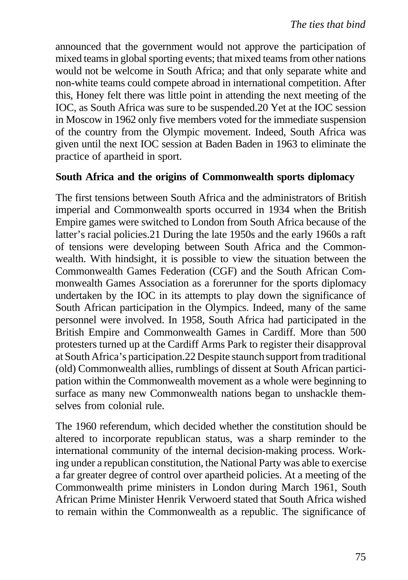announced that the government would not approve the participation of mixed teams in global sporting events; that mixed teams from other nations would not be welcome in South Africa; and that only separate white and non-white teams could compete abroad in international competition. After this, Honey felt there was little point in attending the next meeting of the IOC, as South Africa was sure to be suspended.20 Yet at the IOC session in Moscow in 1962 only five members voted for the immediate suspension of the country from the Olympic movement. Indeed, South Africa was given until the next IOC session at Baden Baden in 1963 to eliminate the practice of apartheid in sport.

#### **South Africa and the origins of Commonwealth sports diplomacy**

The first tensions between South Africa and the administrators of British imperial and Commonwealth sports occurred in 1934 when the British Empire games were switched to London from South Africa because of the latter's racial policies.21 During the late 1950s and the early 1960s a raft of tensions were developing between South Africa and the Commonwealth. With hindsight, it is possible to view the situation between the Commonwealth Games Federation (CGF) and the South African Commonwealth Games Association as a forerunner for the sports diplomacy undertaken by the IOC in its attempts to play down the significance of South African participation in the Olympics. Indeed, many of the same personnel were involved. In 1958, South Africa had participated in the British Empire and Commonwealth Games in Cardiff. More than 500 protesters turned up at the Cardiff Arms Park to register their disapproval at South Africa's participation.22 Despite staunch support from traditional (old) Commonwealth allies, rumblings of dissent at South African participation within the Commonwealth movement as a whole were beginning to surface as many new Commonwealth nations began to unshackle themselves from colonial rule.

The 1960 referendum, which decided whether the constitution should be altered to incorporate republican status, was a sharp reminder to the international community of the internal decision-making process. Working under a republican constitution, the National Party was able to exercise a far greater degree of control over apartheid policies. At a meeting of the Commonwealth prime ministers in London during March 1961, South African Prime Minister Henrik Verwoerd stated that South Africa wished to remain within the Commonwealth as a republic. The significance of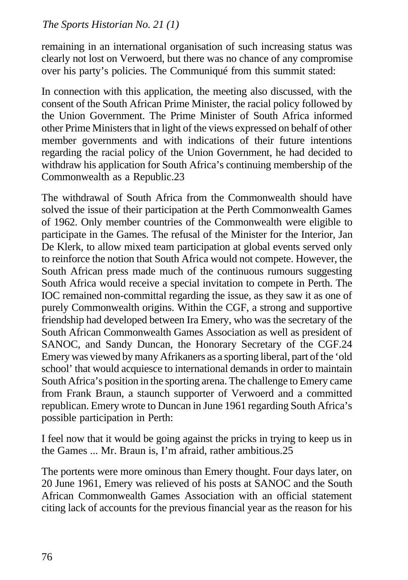remaining in an international organisation of such increasing status was clearly not lost on Verwoerd, but there was no chance of any compromise over his party's policies. The Communiqué from this summit stated:

In connection with this application, the meeting also discussed, with the consent of the South African Prime Minister, the racial policy followed by the Union Government. The Prime Minister of South Africa informed other Prime Ministers that in light of the views expressed on behalf of other member governments and with indications of their future intentions regarding the racial policy of the Union Government, he had decided to withdraw his application for South Africa's continuing membership of the Commonwealth as a Republic.23

The withdrawal of South Africa from the Commonwealth should have solved the issue of their participation at the Perth Commonwealth Games of 1962. Only member countries of the Commonwealth were eligible to participate in the Games. The refusal of the Minister for the Interior, Jan De Klerk, to allow mixed team participation at global events served only to reinforce the notion that South Africa would not compete. However, the South African press made much of the continuous rumours suggesting South Africa would receive a special invitation to compete in Perth. The IOC remained non-committal regarding the issue, as they saw it as one of purely Commonwealth origins. Within the CGF, a strong and supportive friendship had developed between Ira Emery, who was the secretary of the South African Commonwealth Games Association as well as president of SANOC, and Sandy Duncan, the Honorary Secretary of the CGF.24 Emery was viewed by many Afrikaners as a sporting liberal, part of the 'old school' that would acquiesce to international demands in order to maintain South Africa's position in the sporting arena. The challenge to Emery came from Frank Braun, a staunch supporter of Verwoerd and a committed republican. Emery wrote to Duncan in June 1961 regarding South Africa's possible participation in Perth:

I feel now that it would be going against the pricks in trying to keep us in the Games ... Mr. Braun is, I'm afraid, rather ambitious.25

The portents were more ominous than Emery thought. Four days later, on 20 June 1961, Emery was relieved of his posts at SANOC and the South African Commonwealth Games Association with an official statement citing lack of accounts for the previous financial year as the reason for his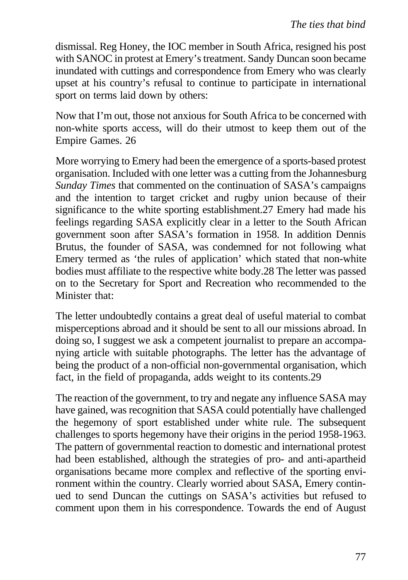dismissal. Reg Honey, the IOC member in South Africa, resigned his post with SANOC in protest at Emery's treatment. Sandy Duncan soon became inundated with cuttings and correspondence from Emery who was clearly upset at his country's refusal to continue to participate in international sport on terms laid down by others:

Now that I'm out, those not anxious for South Africa to be concerned with non-white sports access, will do their utmost to keep them out of the Empire Games. 26

More worrying to Emery had been the emergence of a sports-based protest organisation. Included with one letter was a cutting from the Johannesburg *Sunday Times* that commented on the continuation of SASA's campaigns and the intention to target cricket and rugby union because of their significance to the white sporting establishment.27 Emery had made his feelings regarding SASA explicitly clear in a letter to the South African government soon after SASA's formation in 1958. In addition Dennis Brutus, the founder of SASA, was condemned for not following what Emery termed as 'the rules of application' which stated that non-white bodies must affiliate to the respective white body.28 The letter was passed on to the Secretary for Sport and Recreation who recommended to the Minister that:

The letter undoubtedly contains a great deal of useful material to combat misperceptions abroad and it should be sent to all our missions abroad. In doing so, I suggest we ask a competent journalist to prepare an accompanying article with suitable photographs. The letter has the advantage of being the product of a non-official non-governmental organisation, which fact, in the field of propaganda, adds weight to its contents.29

The reaction of the government, to try and negate any influence SASA may have gained, was recognition that SASA could potentially have challenged the hegemony of sport established under white rule. The subsequent challenges to sports hegemony have their origins in the period 1958-1963. The pattern of governmental reaction to domestic and international protest had been established, although the strategies of pro- and anti-apartheid organisations became more complex and reflective of the sporting environment within the country. Clearly worried about SASA, Emery continued to send Duncan the cuttings on SASA's activities but refused to comment upon them in his correspondence. Towards the end of August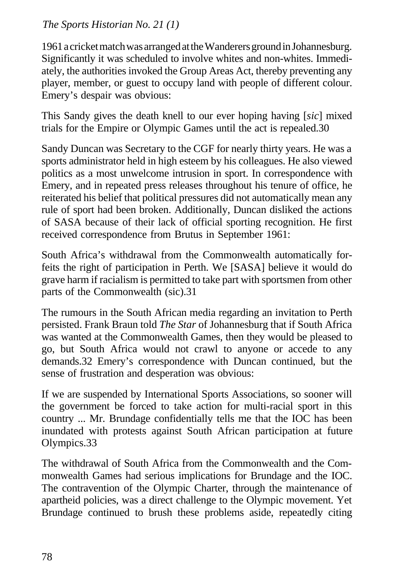1961 a cricket match was arranged at the Wanderers ground in Johannesburg. Significantly it was scheduled to involve whites and non-whites. Immediately, the authorities invoked the Group Areas Act, thereby preventing any player, member, or guest to occupy land with people of different colour. Emery's despair was obvious:

This Sandy gives the death knell to our ever hoping having [*sic*] mixed trials for the Empire or Olympic Games until the act is repealed.30

Sandy Duncan was Secretary to the CGF for nearly thirty years. He was a sports administrator held in high esteem by his colleagues. He also viewed politics as a most unwelcome intrusion in sport. In correspondence with Emery, and in repeated press releases throughout his tenure of office, he reiterated his belief that political pressures did not automatically mean any rule of sport had been broken. Additionally, Duncan disliked the actions of SASA because of their lack of official sporting recognition. He first received correspondence from Brutus in September 1961:

South Africa's withdrawal from the Commonwealth automatically forfeits the right of participation in Perth. We [SASA] believe it would do grave harm if racialism is permitted to take part with sportsmen from other parts of the Commonwealth (sic).31

The rumours in the South African media regarding an invitation to Perth persisted. Frank Braun told *The Star* of Johannesburg that if South Africa was wanted at the Commonwealth Games, then they would be pleased to go, but South Africa would not crawl to anyone or accede to any demands.32 Emery's correspondence with Duncan continued, but the sense of frustration and desperation was obvious:

If we are suspended by International Sports Associations, so sooner will the government be forced to take action for multi-racial sport in this country ... Mr. Brundage confidentially tells me that the IOC has been inundated with protests against South African participation at future Olympics.33

The withdrawal of South Africa from the Commonwealth and the Commonwealth Games had serious implications for Brundage and the IOC. The contravention of the Olympic Charter, through the maintenance of apartheid policies, was a direct challenge to the Olympic movement. Yet Brundage continued to brush these problems aside, repeatedly citing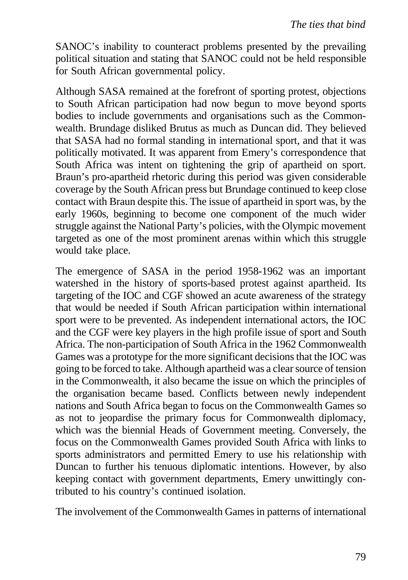SANOC's inability to counteract problems presented by the prevailing political situation and stating that SANOC could not be held responsible for South African governmental policy.

Although SASA remained at the forefront of sporting protest, objections to South African participation had now begun to move beyond sports bodies to include governments and organisations such as the Commonwealth. Brundage disliked Brutus as much as Duncan did. They believed that SASA had no formal standing in international sport, and that it was politically motivated. It was apparent from Emery's correspondence that South Africa was intent on tightening the grip of apartheid on sport. Braun's pro-apartheid rhetoric during this period was given considerable coverage by the South African press but Brundage continued to keep close contact with Braun despite this. The issue of apartheid in sport was, by the early 1960s, beginning to become one component of the much wider struggle against the National Party's policies, with the Olympic movement targeted as one of the most prominent arenas within which this struggle would take place.

The emergence of SASA in the period 1958-1962 was an important watershed in the history of sports-based protest against apartheid. Its targeting of the IOC and CGF showed an acute awareness of the strategy that would be needed if South African participation within international sport were to be prevented. As independent international actors, the IOC and the CGF were key players in the high profile issue of sport and South Africa. The non-participation of South Africa in the 1962 Commonwealth Games was a prototype for the more significant decisions that the IOC was going to be forced to take. Although apartheid was a clear source of tension in the Commonwealth, it also became the issue on which the principles of the organisation became based. Conflicts between newly independent nations and South Africa began to focus on the Commonwealth Games so as not to jeopardise the primary focus for Commonwealth diplomacy, which was the biennial Heads of Government meeting. Conversely, the focus on the Commonwealth Games provided South Africa with links to sports administrators and permitted Emery to use his relationship with Duncan to further his tenuous diplomatic intentions. However, by also keeping contact with government departments, Emery unwittingly contributed to his country's continued isolation.

The involvement of the Commonwealth Games in patterns of international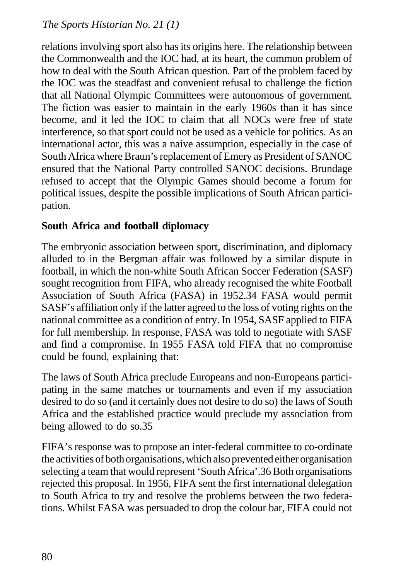relations involving sport also has its origins here. The relationship between the Commonwealth and the IOC had, at its heart, the common problem of how to deal with the South African question. Part of the problem faced by the IOC was the steadfast and convenient refusal to challenge the fiction that all National Olympic Committees were autonomous of government. The fiction was easier to maintain in the early 1960s than it has since become, and it led the IOC to claim that all NOCs were free of state interference, so that sport could not be used as a vehicle for politics. As an international actor, this was a naive assumption, especially in the case of South Africa where Braun's replacement of Emery as President of SANOC ensured that the National Party controlled SANOC decisions. Brundage refused to accept that the Olympic Games should become a forum for political issues, despite the possible implications of South African participation.

# **South Africa and football diplomacy**

The embryonic association between sport, discrimination, and diplomacy alluded to in the Bergman affair was followed by a similar dispute in football, in which the non-white South African Soccer Federation (SASF) sought recognition from FIFA, who already recognised the white Football Association of South Africa (FASA) in 1952.34 FASA would permit SASF's affiliation only if the latter agreed to the loss of voting rights on the national committee as a condition of entry. In 1954, SASF applied to FIFA for full membership. In response, FASA was told to negotiate with SASF and find a compromise. In 1955 FASA told FIFA that no compromise could be found, explaining that:

The laws of South Africa preclude Europeans and non-Europeans participating in the same matches or tournaments and even if my association desired to do so (and it certainly does not desire to do so) the laws of South Africa and the established practice would preclude my association from being allowed to do so.35

FIFA's response was to propose an inter-federal committee to co-ordinate the activities of both organisations, which also prevented either organisation selecting a team that would represent 'South Africa'.36 Both organisations rejected this proposal. In 1956, FIFA sent the first international delegation to South Africa to try and resolve the problems between the two federations. Whilst FASA was persuaded to drop the colour bar, FIFA could not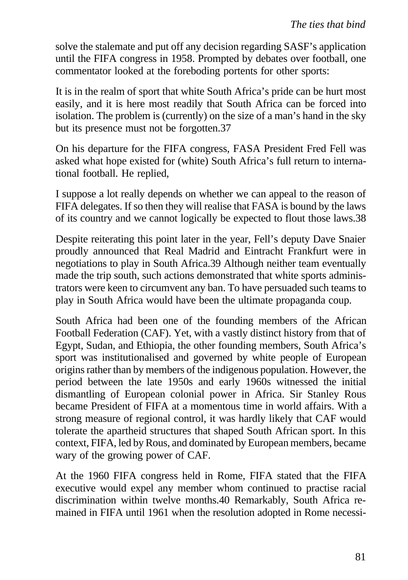solve the stalemate and put off any decision regarding SASF's application until the FIFA congress in 1958. Prompted by debates over football, one commentator looked at the foreboding portents for other sports:

It is in the realm of sport that white South Africa's pride can be hurt most easily, and it is here most readily that South Africa can be forced into isolation. The problem is (currently) on the size of a man's hand in the sky but its presence must not be forgotten.37

On his departure for the FIFA congress, FASA President Fred Fell was asked what hope existed for (white) South Africa's full return to international football. He replied,

I suppose a lot really depends on whether we can appeal to the reason of FIFA delegates. If so then they will realise that FASA is bound by the laws of its country and we cannot logically be expected to flout those laws.38

Despite reiterating this point later in the year, Fell's deputy Dave Snaier proudly announced that Real Madrid and Eintracht Frankfurt were in negotiations to play in South Africa.39 Although neither team eventually made the trip south, such actions demonstrated that white sports administrators were keen to circumvent any ban. To have persuaded such teams to play in South Africa would have been the ultimate propaganda coup.

South Africa had been one of the founding members of the African Football Federation (CAF). Yet, with a vastly distinct history from that of Egypt, Sudan, and Ethiopia, the other founding members, South Africa's sport was institutionalised and governed by white people of European origins rather than by members of the indigenous population. However, the period between the late 1950s and early 1960s witnessed the initial dismantling of European colonial power in Africa. Sir Stanley Rous became President of FIFA at a momentous time in world affairs. With a strong measure of regional control, it was hardly likely that CAF would tolerate the apartheid structures that shaped South African sport. In this context, FIFA, led by Rous, and dominated by European members, became wary of the growing power of CAF.

At the 1960 FIFA congress held in Rome, FIFA stated that the FIFA executive would expel any member whom continued to practise racial discrimination within twelve months.40 Remarkably, South Africa remained in FIFA until 1961 when the resolution adopted in Rome necessi-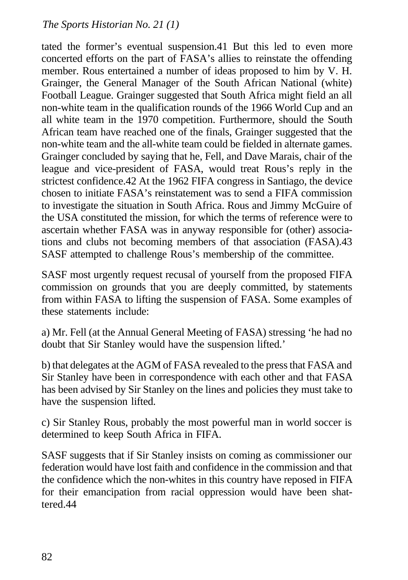tated the former's eventual suspension.41 But this led to even more concerted efforts on the part of FASA's allies to reinstate the offending member. Rous entertained a number of ideas proposed to him by V. H. Grainger, the General Manager of the South African National (white) Football League. Grainger suggested that South Africa might field an all non-white team in the qualification rounds of the 1966 World Cup and an all white team in the 1970 competition. Furthermore, should the South African team have reached one of the finals, Grainger suggested that the non-white team and the all-white team could be fielded in alternate games. Grainger concluded by saying that he, Fell, and Dave Marais, chair of the league and vice-president of FASA, would treat Rous's reply in the strictest confidence.42 At the 1962 FIFA congress in Santiago, the device chosen to initiate FASA's reinstatement was to send a FIFA commission to investigate the situation in South Africa. Rous and Jimmy McGuire of the USA constituted the mission, for which the terms of reference were to ascertain whether FASA was in anyway responsible for (other) associations and clubs not becoming members of that association (FASA).43 SASF attempted to challenge Rous's membership of the committee.

SASF most urgently request recusal of yourself from the proposed FIFA commission on grounds that you are deeply committed, by statements from within FASA to lifting the suspension of FASA. Some examples of these statements include:

a) Mr. Fell (at the Annual General Meeting of FASA) stressing 'he had no doubt that Sir Stanley would have the suspension lifted.'

b) that delegates at the AGM of FASA revealed to the press that FASA and Sir Stanley have been in correspondence with each other and that FASA has been advised by Sir Stanley on the lines and policies they must take to have the suspension lifted.

c) Sir Stanley Rous, probably the most powerful man in world soccer is determined to keep South Africa in FIFA.

SASF suggests that if Sir Stanley insists on coming as commissioner our federation would have lost faith and confidence in the commission and that the confidence which the non-whites in this country have reposed in FIFA for their emancipation from racial oppression would have been shattered 44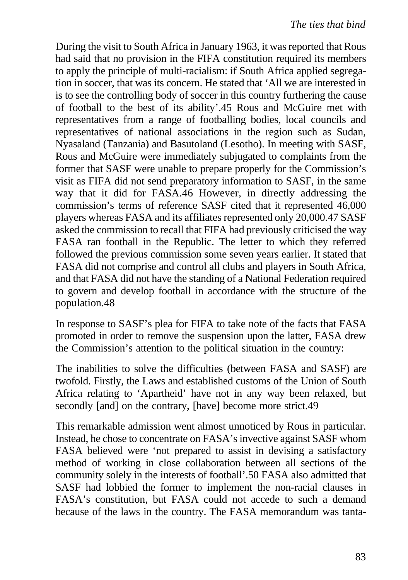During the visit to South Africa in January 1963, it was reported that Rous had said that no provision in the FIFA constitution required its members to apply the principle of multi-racialism: if South Africa applied segregation in soccer, that was its concern. He stated that 'All we are interested in is to see the controlling body of soccer in this country furthering the cause of football to the best of its ability'.45 Rous and McGuire met with representatives from a range of footballing bodies, local councils and representatives of national associations in the region such as Sudan, Nyasaland (Tanzania) and Basutoland (Lesotho). In meeting with SASF, Rous and McGuire were immediately subjugated to complaints from the former that SASF were unable to prepare properly for the Commission's visit as FIFA did not send preparatory information to SASF, in the same way that it did for FASA.46 However, in directly addressing the commission's terms of reference SASF cited that it represented 46,000 players whereas FASA and its affiliates represented only 20,000.47 SASF asked the commission to recall that FIFA had previously criticised the way FASA ran football in the Republic. The letter to which they referred followed the previous commission some seven years earlier. It stated that FASA did not comprise and control all clubs and players in South Africa, and that FASA did not have the standing of a National Federation required to govern and develop football in accordance with the structure of the population.48

In response to SASF's plea for FIFA to take note of the facts that FASA promoted in order to remove the suspension upon the latter, FASA drew the Commission's attention to the political situation in the country:

The inabilities to solve the difficulties (between FASA and SASF) are twofold. Firstly, the Laws and established customs of the Union of South Africa relating to 'Apartheid' have not in any way been relaxed, but secondly [and] on the contrary, [have] become more strict.49

This remarkable admission went almost unnoticed by Rous in particular. Instead, he chose to concentrate on FASA's invective against SASF whom FASA believed were 'not prepared to assist in devising a satisfactory method of working in close collaboration between all sections of the community solely in the interests of football'.50 FASA also admitted that SASF had lobbied the former to implement the non-racial clauses in FASA's constitution, but FASA could not accede to such a demand because of the laws in the country. The FASA memorandum was tanta-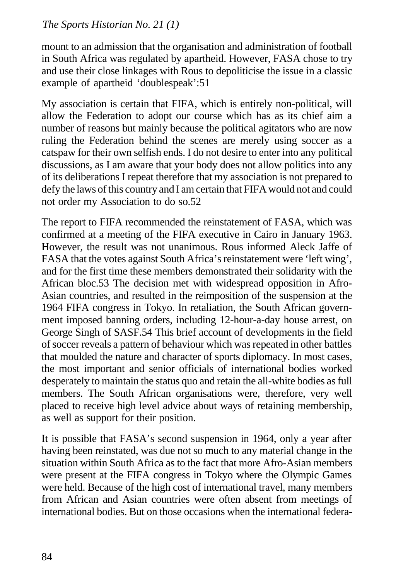mount to an admission that the organisation and administration of football in South Africa was regulated by apartheid. However, FASA chose to try and use their close linkages with Rous to depoliticise the issue in a classic example of apartheid 'doublespeak':51

My association is certain that FIFA, which is entirely non-political, will allow the Federation to adopt our course which has as its chief aim a number of reasons but mainly because the political agitators who are now ruling the Federation behind the scenes are merely using soccer as a catspaw for their own selfish ends. I do not desire to enter into any political discussions, as I am aware that your body does not allow politics into any of its deliberations I repeat therefore that my association is not prepared to defy the laws of this country and I am certain that FIFA would not and could not order my Association to do so.52

The report to FIFA recommended the reinstatement of FASA, which was confirmed at a meeting of the FIFA executive in Cairo in January 1963. However, the result was not unanimous. Rous informed Aleck Jaffe of FASA that the votes against South Africa's reinstatement were 'left wing', and for the first time these members demonstrated their solidarity with the African bloc.53 The decision met with widespread opposition in Afro-Asian countries, and resulted in the reimposition of the suspension at the 1964 FIFA congress in Tokyo. In retaliation, the South African government imposed banning orders, including 12-hour-a-day house arrest, on George Singh of SASF.54 This brief account of developments in the field of soccer reveals a pattern of behaviour which was repeated in other battles that moulded the nature and character of sports diplomacy. In most cases, the most important and senior officials of international bodies worked desperately to maintain the status quo and retain the all-white bodies as full members. The South African organisations were, therefore, very well placed to receive high level advice about ways of retaining membership, as well as support for their position.

It is possible that FASA's second suspension in 1964, only a year after having been reinstated, was due not so much to any material change in the situation within South Africa as to the fact that more Afro-Asian members were present at the FIFA congress in Tokyo where the Olympic Games were held. Because of the high cost of international travel, many members from African and Asian countries were often absent from meetings of international bodies. But on those occasions when the international federa-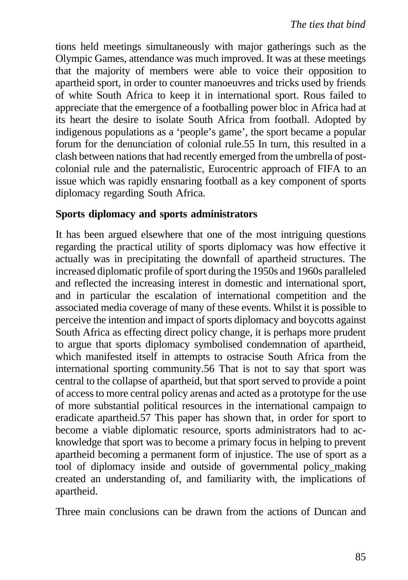tions held meetings simultaneously with major gatherings such as the Olympic Games, attendance was much improved. It was at these meetings that the majority of members were able to voice their opposition to apartheid sport, in order to counter manoeuvres and tricks used by friends of white South Africa to keep it in international sport. Rous failed to appreciate that the emergence of a footballing power bloc in Africa had at its heart the desire to isolate South Africa from football. Adopted by indigenous populations as a 'people's game', the sport became a popular forum for the denunciation of colonial rule.55 In turn, this resulted in a clash between nations that had recently emerged from the umbrella of postcolonial rule and the paternalistic, Eurocentric approach of FIFA to an issue which was rapidly ensnaring football as a key component of sports diplomacy regarding South Africa.

# **Sports diplomacy and sports administrators**

It has been argued elsewhere that one of the most intriguing questions regarding the practical utility of sports diplomacy was how effective it actually was in precipitating the downfall of apartheid structures. The increased diplomatic profile of sport during the 1950s and 1960s paralleled and reflected the increasing interest in domestic and international sport, and in particular the escalation of international competition and the associated media coverage of many of these events. Whilst it is possible to perceive the intention and impact of sports diplomacy and boycotts against South Africa as effecting direct policy change, it is perhaps more prudent to argue that sports diplomacy symbolised condemnation of apartheid, which manifested itself in attempts to ostracise South Africa from the international sporting community.56 That is not to say that sport was central to the collapse of apartheid, but that sport served to provide a point of access to more central policy arenas and acted as a prototype for the use of more substantial political resources in the international campaign to eradicate apartheid.57 This paper has shown that, in order for sport to become a viable diplomatic resource, sports administrators had to acknowledge that sport was to become a primary focus in helping to prevent apartheid becoming a permanent form of injustice. The use of sport as a tool of diplomacy inside and outside of governmental policy\_making created an understanding of, and familiarity with, the implications of apartheid.

Three main conclusions can be drawn from the actions of Duncan and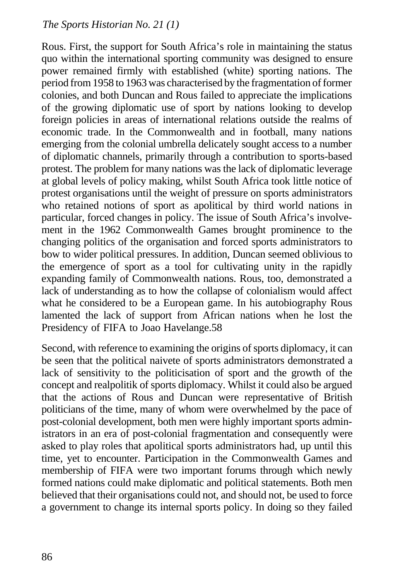Rous. First, the support for South Africa's role in maintaining the status quo within the international sporting community was designed to ensure power remained firmly with established (white) sporting nations. The period from 1958 to 1963 was characterised by the fragmentation of former colonies, and both Duncan and Rous failed to appreciate the implications of the growing diplomatic use of sport by nations looking to develop foreign policies in areas of international relations outside the realms of economic trade. In the Commonwealth and in football, many nations emerging from the colonial umbrella delicately sought access to a number of diplomatic channels, primarily through a contribution to sports-based protest. The problem for many nations was the lack of diplomatic leverage at global levels of policy making, whilst South Africa took little notice of protest organisations until the weight of pressure on sports administrators who retained notions of sport as apolitical by third world nations in particular, forced changes in policy. The issue of South Africa's involvement in the 1962 Commonwealth Games brought prominence to the changing politics of the organisation and forced sports administrators to bow to wider political pressures. In addition, Duncan seemed oblivious to the emergence of sport as a tool for cultivating unity in the rapidly expanding family of Commonwealth nations. Rous, too, demonstrated a lack of understanding as to how the collapse of colonialism would affect what he considered to be a European game. In his autobiography Rous lamented the lack of support from African nations when he lost the Presidency of FIFA to Joao Havelange.58

Second, with reference to examining the origins of sports diplomacy, it can be seen that the political naivete of sports administrators demonstrated a lack of sensitivity to the politicisation of sport and the growth of the concept and realpolitik of sports diplomacy. Whilst it could also be argued that the actions of Rous and Duncan were representative of British politicians of the time, many of whom were overwhelmed by the pace of post-colonial development, both men were highly important sports administrators in an era of post-colonial fragmentation and consequently were asked to play roles that apolitical sports administrators had, up until this time, yet to encounter. Participation in the Commonwealth Games and membership of FIFA were two important forums through which newly formed nations could make diplomatic and political statements. Both men believed that their organisations could not, and should not, be used to force a government to change its internal sports policy. In doing so they failed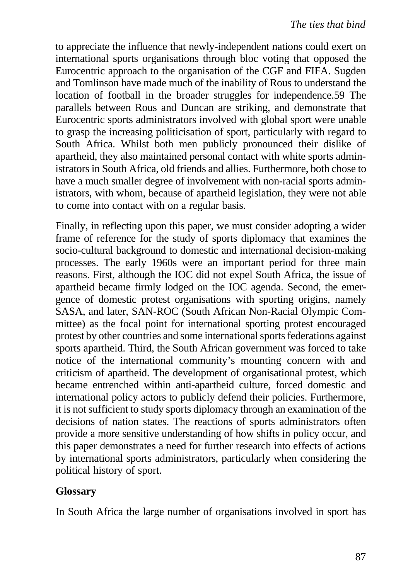to appreciate the influence that newly-independent nations could exert on international sports organisations through bloc voting that opposed the Eurocentric approach to the organisation of the CGF and FIFA. Sugden and Tomlinson have made much of the inability of Rous to understand the location of football in the broader struggles for independence.59 The parallels between Rous and Duncan are striking, and demonstrate that Eurocentric sports administrators involved with global sport were unable to grasp the increasing politicisation of sport, particularly with regard to South Africa. Whilst both men publicly pronounced their dislike of apartheid, they also maintained personal contact with white sports administrators in South Africa, old friends and allies. Furthermore, both chose to have a much smaller degree of involvement with non-racial sports administrators, with whom, because of apartheid legislation, they were not able to come into contact with on a regular basis.

Finally, in reflecting upon this paper, we must consider adopting a wider frame of reference for the study of sports diplomacy that examines the socio-cultural background to domestic and international decision-making processes. The early 1960s were an important period for three main reasons. First, although the IOC did not expel South Africa, the issue of apartheid became firmly lodged on the IOC agenda. Second, the emergence of domestic protest organisations with sporting origins, namely SASA, and later, SAN-ROC (South African Non-Racial Olympic Committee) as the focal point for international sporting protest encouraged protest by other countries and some international sports federations against sports apartheid. Third, the South African government was forced to take notice of the international community's mounting concern with and criticism of apartheid. The development of organisational protest, which became entrenched within anti-apartheid culture, forced domestic and international policy actors to publicly defend their policies. Furthermore, it is not sufficient to study sports diplomacy through an examination of the decisions of nation states. The reactions of sports administrators often provide a more sensitive understanding of how shifts in policy occur, and this paper demonstrates a need for further research into effects of actions by international sports administrators, particularly when considering the political history of sport.

#### **Glossary**

In South Africa the large number of organisations involved in sport has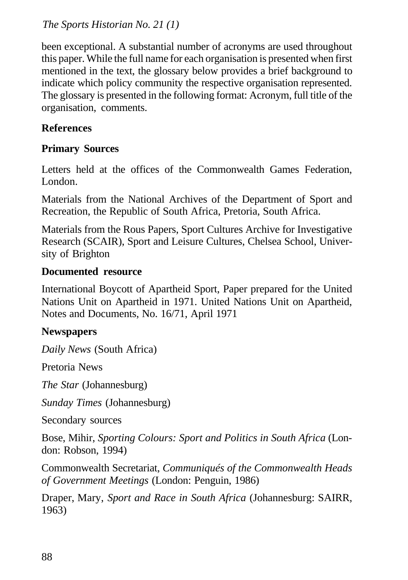been exceptional. A substantial number of acronyms are used throughout this paper. While the full name for each organisation is presented when first mentioned in the text, the glossary below provides a brief background to indicate which policy community the respective organisation represented. The glossary is presented in the following format: Acronym, full title of the organisation, comments.

# **References**

# **Primary Sources**

Letters held at the offices of the Commonwealth Games Federation, London.

Materials from the National Archives of the Department of Sport and Recreation, the Republic of South Africa, Pretoria, South Africa.

Materials from the Rous Papers, Sport Cultures Archive for Investigative Research (SCAIR), Sport and Leisure Cultures, Chelsea School, University of Brighton

# **Documented resource**

International Boycott of Apartheid Sport, Paper prepared for the United Nations Unit on Apartheid in 1971. United Nations Unit on Apartheid, Notes and Documents, No. 16/71, April 1971

# **Newspapers**

*Daily News* (South Africa)

Pretoria News

*The Star* (Johannesburg)

*Sunday Times* (Johannesburg)

Secondary sources

Bose, Mihir, *Sporting Colours: Sport and Politics in South Africa* (London: Robson, 1994)

Commonwealth Secretariat, *Communiqués of the Commonwealth Heads of Government Meetings* (London: Penguin, 1986)

Draper, Mary, *Sport and Race in South Africa* (Johannesburg: SAIRR, 1963)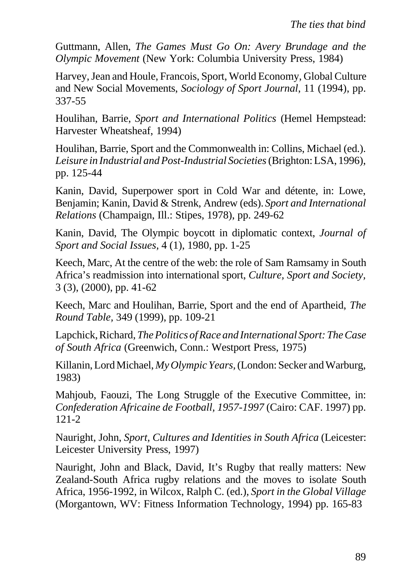Guttmann, Allen, *The Games Must Go On: Avery Brundage and the Olympic Movement* (New York: Columbia University Press, 1984)

Harvey, Jean and Houle, Francois, Sport, World Economy, Global Culture and New Social Movements, *Sociology of Sport Journal*, 11 (1994), pp. 337-55

Houlihan, Barrie, *Sport and International Politics* (Hemel Hempstead: Harvester Wheatsheaf, 1994)

Houlihan, Barrie, Sport and the Commonwealth in: Collins, Michael (ed.). *Leisure in Industrial and Post-Industrial Societies* (Brighton: LSA, 1996), pp. 125-44

Kanin, David, Superpower sport in Cold War and détente, in: Lowe, Benjamin; Kanin, David & Strenk, Andrew (eds). *Sport and International Relations* (Champaign, Ill.: Stipes, 1978), pp. 249-62

Kanin, David, The Olympic boycott in diplomatic context, *Journal of Sport and Social Issues,* 4 (1), 1980, pp. 1-25

Keech, Marc, At the centre of the web: the role of Sam Ramsamy in South Africa's readmission into international sport, *Culture, Sport and Society,* 3 (3), (2000), pp. 41-62

Keech, Marc and Houlihan, Barrie, Sport and the end of Apartheid, *The Round Table,* 349 (1999), pp. 109-21

Lapchick, Richard, *The Politics of Race and International Sport: The Case of South Africa* (Greenwich, Conn.: Westport Press, 1975)

Killanin, Lord Michael, *My Olympic Years,* (London: Secker and Warburg, 1983)

Mahjoub, Faouzi, The Long Struggle of the Executive Committee, in: *Confederation Africaine de Football, 1957-1997* (Cairo: CAF. 1997) pp. 121-2

Nauright, John, *Sport, Cultures and Identities in South Africa* (Leicester: Leicester University Press, 1997)

Nauright, John and Black, David, It's Rugby that really matters: New Zealand-South Africa rugby relations and the moves to isolate South Africa, 1956-1992, in Wilcox, Ralph C. (ed.), *Sport in the Global Village* (Morgantown, WV: Fitness Information Technology, 1994) pp. 165-83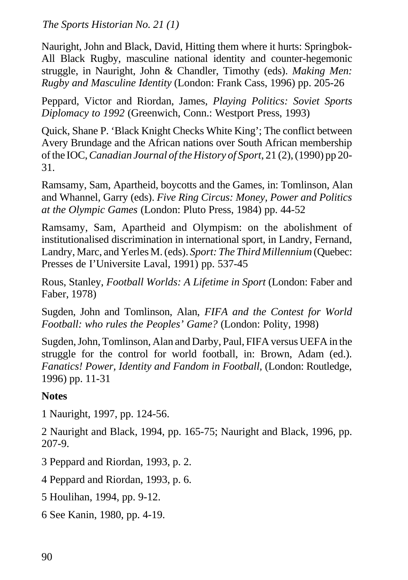Nauright, John and Black, David, Hitting them where it hurts: Springbok-All Black Rugby, masculine national identity and counter-hegemonic struggle, in Nauright, John & Chandler, Timothy (eds). *Making Men: Rugby and Masculine Identity* (London: Frank Cass, 1996) pp. 205-26

Peppard, Victor and Riordan, James, *Playing Politics: Soviet Sports Diplomacy to 1992* (Greenwich, Conn.: Westport Press, 1993)

Quick, Shane P. 'Black Knight Checks White King'; The conflict between Avery Brundage and the African nations over South African membership of the IOC,*Canadian Journal of the History of Sport*, 21 (2), (1990) pp 20- 31.

Ramsamy, Sam, Apartheid, boycotts and the Games, in: Tomlinson, Alan and Whannel, Garry (eds). *Five Ring Circus: Money, Power and Politics at the Olympic Games* (London: Pluto Press, 1984) pp. 44-52

Ramsamy, Sam, Apartheid and Olympism: on the abolishment of institutionalised discrimination in international sport, in Landry, Fernand, Landry, Marc, and Yerles M. (eds). *Sport: The Third Millennium* (Quebec: Presses de I'Universite Laval, 1991) pp. 537-45

Rous, Stanley, *Football Worlds: A Lifetime in Sport* (London: Faber and Faber, 1978)

Sugden, John and Tomlinson, Alan, *FIFA and the Contest for World Football: who rules the Peoples' Game?* (London: Polity, 1998)

Sugden, John, Tomlinson, Alan and Darby, Paul, FIFA versus UEFA in the struggle for the control for world football, in: Brown, Adam (ed.). *Fanatics! Power, Identity and Fandom in Football,* (London: Routledge, 1996) pp. 11-31

# **Notes**

1 Nauright, 1997, pp. 124-56.

2 Nauright and Black, 1994, pp. 165-75; Nauright and Black, 1996, pp. 207-9.

3 Peppard and Riordan, 1993, p. 2.

4 Peppard and Riordan, 1993, p. 6.

5 Houlihan, 1994, pp. 9-12.

6 See Kanin, 1980, pp. 4-19.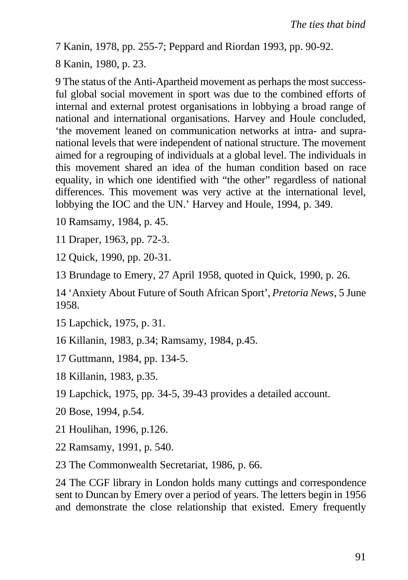7 Kanin, 1978, pp. 255-7; Peppard and Riordan 1993, pp. 90-92.

8 Kanin, 1980, p. 23.

9 The status of the Anti-Apartheid movement as perhaps the most successful global social movement in sport was due to the combined efforts of internal and external protest organisations in lobbying a broad range of national and international organisations. Harvey and Houle concluded, 'the movement leaned on communication networks at intra- and supranational levels that were independent of national structure. The movement aimed for a regrouping of individuals at a global level. The individuals in this movement shared an idea of the human condition based on race equality, in which one identified with "the other" regardless of national differences. This movement was very active at the international level, lobbying the IOC and the UN.' Harvey and Houle, 1994, p. 349.

10 Ramsamy, 1984, p. 45.

- 11 Draper, 1963, pp. 72-3.
- 12 Quick, 1990, pp. 20-31.

13 Brundage to Emery, 27 April 1958, quoted in Quick, 1990, p. 26.

14 'Anxiety About Future of South African Sport', *Pretoria News*, 5 June 1958.

15 Lapchick, 1975, p. 31.

16 Killanin, 1983, p.34; Ramsamy, 1984, p.45.

17 Guttmann, 1984, pp. 134-5.

18 Killanin, 1983, p.35.

19 Lapchick, 1975, pp. 34-5, 39-43 provides a detailed account.

- 20 Bose, 1994, p.54.
- 21 Houlihan, 1996, p.126.
- 22 Ramsamy, 1991, p. 540.

23 The Commonwealth Secretariat, 1986, p. 66.

24 The CGF library in London holds many cuttings and correspondence sent to Duncan by Emery over a period of years. The letters begin in 1956 and demonstrate the close relationship that existed. Emery frequently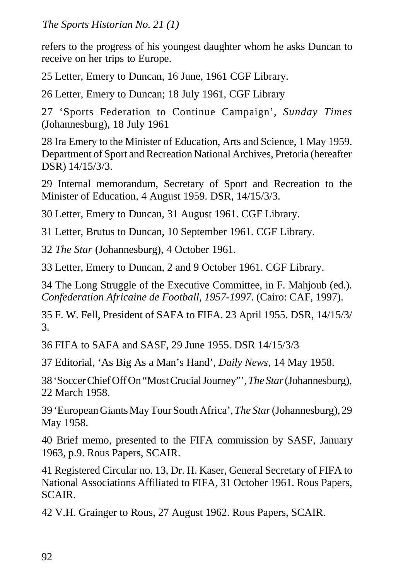refers to the progress of his youngest daughter whom he asks Duncan to receive on her trips to Europe.

25 Letter, Emery to Duncan, 16 June, 1961 CGF Library.

26 Letter, Emery to Duncan; 18 July 1961, CGF Library

27 'Sports Federation to Continue Campaign', *Sunday Times* (Johannesburg), 18 July 1961

28 Ira Emery to the Minister of Education, Arts and Science, 1 May 1959. Department of Sport and Recreation National Archives, Pretoria (hereafter DSR) 14/15/3/3.

29 Internal memorandum, Secretary of Sport and Recreation to the Minister of Education, 4 August 1959. DSR, 14/15/3/3.

30 Letter, Emery to Duncan, 31 August 1961. CGF Library.

31 Letter, Brutus to Duncan, 10 September 1961. CGF Library.

32 *The Star* (Johannesburg), 4 October 1961.

33 Letter, Emery to Duncan, 2 and 9 October 1961. CGF Library.

34 The Long Struggle of the Executive Committee, in F. Mahjoub (ed.). *Confederation Africaine de Football, 1957-1997*. (Cairo: CAF, 1997).

35 F. W. Fell, President of SAFA to FIFA. 23 April 1955. DSR, 14/15/3/ 3.

36 FIFA to SAFA and SASF, 29 June 1955. DSR 14/15/3/3

37 Editorial, 'As Big As a Man's Hand', *Daily News*, 14 May 1958.

38 'Soccer Chief Off On "Most Crucial Journey"',*The Star* (Johannesburg), 22 March 1958.

39 'European Giants May Tour South Africa',*The Star* (Johannesburg), 29 May 1958.

40 Brief memo, presented to the FIFA commission by SASF, January 1963, p.9. Rous Papers, SCAIR.

41 Registered Circular no. 13, Dr. H. Kaser, General Secretary of FIFA to National Associations Affiliated to FIFA, 31 October 1961. Rous Papers, SCAIR.

42 V.H. Grainger to Rous, 27 August 1962. Rous Papers, SCAIR.